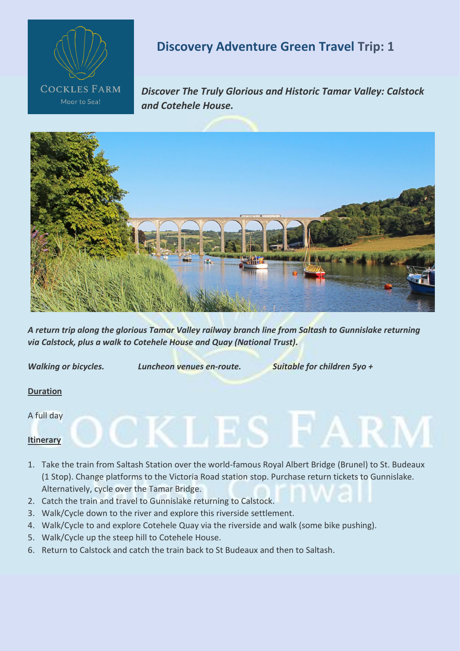

# **Discovery Adventure Green Travel Trip: 1**

*Discover The Truly Glorious and Historic Tamar Valley: Calstock and Cotehele House.*



*A return trip along the glorious Tamar Valley railway branch line from Saltash to Gunnislake returning via Calstock, plus a walk to Cotehele House and Quay (National Trust).*

*Walking or bicycles. Luncheon venues en-route. Suitable for children 5yo +*

 $\mathbb C$  K L E S

 $\vdash$  F A

# **Duration**

A full day

# **Itinerary**

- 1. Take the train from Saltash Station over the world-famous Royal Albert Bridge (Brunel) to St. Budeaux (1 Stop). Change platforms to the Victoria Road station stop. Purchase return tickets to Gunnislake. Alternatively, cycle over the Tamar Bridge.
- 2. Catch the train and travel to Gunnislake returning to Calstock.
- 3. Walk/Cycle down to the river and explore this riverside settlement.
- 4. Walk/Cycle to and explore Cotehele Quay via the riverside and walk (some bike pushing).
- 5. Walk/Cycle up the steep hill to Cotehele House.
- 6. Return to Calstock and catch the train back to St Budeaux and then to Saltash.